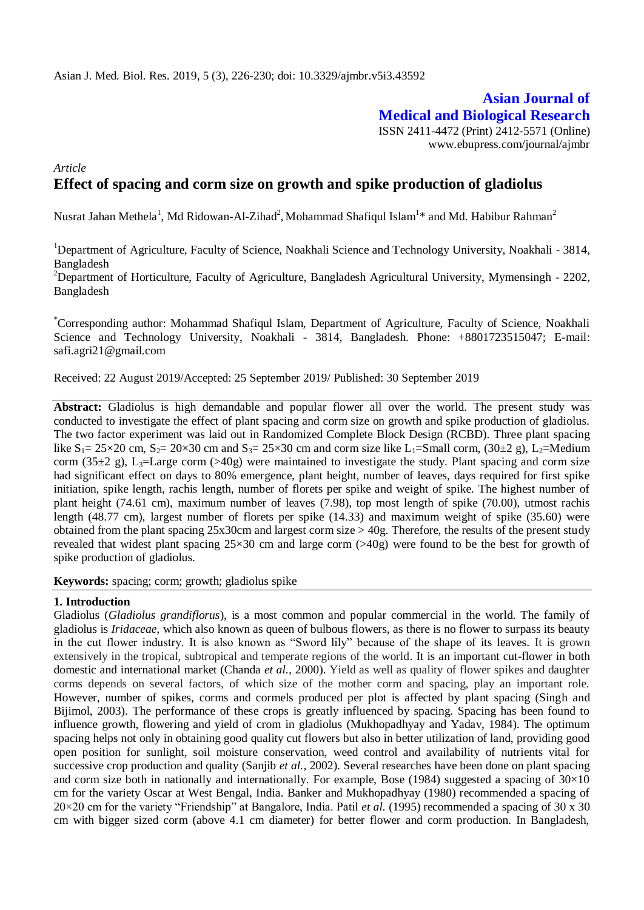# **Asian Journal of Medical and Biological Research** ISSN 2411-4472 (Print) 2412-5571 (Online)

www.ebupress.com/journal/ajmbr

## *Article* **Effect of spacing and corm size on growth and spike production of gladiolus**

Nusrat Jahan Methela<sup>1</sup>, Md Ridowan-Al-Zihad<sup>2</sup>, Mohammad Shafiqul Islam<sup>1\*</sup> and Md. Habibur Rahman<sup>2</sup>

<sup>1</sup>Department of Agriculture, Faculty of Science, Noakhali Science and Technology University, Noakhali - 3814, Bangladesh

<sup>2</sup>Department of Horticulture, Faculty of Agriculture, Bangladesh Agricultural University, Mymensingh - 2202, Bangladesh

\*Corresponding author: Mohammad Shafiqul Islam, Department of Agriculture, Faculty of Science, Noakhali Science and Technology University, Noakhali - 3814, Bangladesh. Phone: +8801723515047; E-mail: [safi.agri21@gmail.com](mailto:safi.agri21@gmail.com)

Received: 22 August 2019/Accepted: 25 September 2019/ Published: 30 September 2019

Abstract: Gladiolus is high demandable and popular flower all over the world. The present study was conducted to investigate the effect of plant spacing and corm size on growth and spike production of gladiolus. The two factor experiment was laid out in Randomized Complete Block Design (RCBD). Three plant spacing like  $S_1 = 25 \times 20$  cm,  $S_2 = 20 \times 30$  cm and  $S_3 = 25 \times 30$  cm and corm size like L<sub>1</sub>=Small corm, (30±2 g), L<sub>2</sub>=Medium corm (35 $\pm$ 2 g), L<sub>3</sub>=Large corm (>40g) were maintained to investigate the study. Plant spacing and corm size had significant effect on days to 80% emergence, plant height, number of leaves, days required for first spike initiation, spike length, rachis length, number of florets per spike and weight of spike. The highest number of plant height (74.61 cm), maximum number of leaves (7.98), top most length of spike (70.00), utmost rachis length (48.77 cm), largest number of florets per spike (14.33) and maximum weight of spike (35.60) were obtained from the plant spacing  $25x30cm$  and largest corm size  $> 40g$ . Therefore, the results of the present study revealed that widest plant spacing 25×30 cm and large corm (>40g) were found to be the best for growth of spike production of gladiolus.

**Keywords:** spacing; corm; growth; gladiolus spike

#### **1. Introduction**

Gladiolus (*Gladiolus grandiflorus*), is a most common and popular commercial in the world. The family of gladiolus is *Iridaceae,* which also known as queen of bulbous flowers, as there is no flower to surpass its beauty in the cut flower industry. It is also known as "Sword lily" because of the shape of its leaves. It is grown extensively in the tropical, subtropical and temperate regions of the world. It is an important cut-flower in both domestic and international market (Chanda *et al.,* 2000). Yield as well as quality of flower spikes and daughter corms depends on several factors, of which size of the mother corm and spacing, play an important role. However, number of spikes, corms and cormels produced per plot is affected by plant spacing (Singh and Bijimol, 2003). The performance of these crops is greatly influenced by spacing. Spacing has been found to influence growth, flowering and yield of crom in gladiolus (Mukhopadhyay and Yadav, 1984). The optimum spacing helps not only in obtaining good quality cut flowers but also in better utilization of land, providing good open position for sunlight, soil moisture conservation, weed control and availability of nutrients vital for successive crop production and quality (Sanjib *et al.,* 2002). Several researches have been done on plant spacing and corm size both in nationally and internationally. For example, Bose (1984) suggested a spacing of  $30\times10$ cm for the variety Oscar at West Bengal, India. Banker and Mukhopadhyay (1980) recommended a spacing of 20×20 cm for the variety "Friendship" at Bangalore, India. Patil *et al.* (1995) recommended a spacing of 30 x 30 cm with bigger sized corm (above 4.1 cm diameter) for better flower and corm production. In Bangladesh,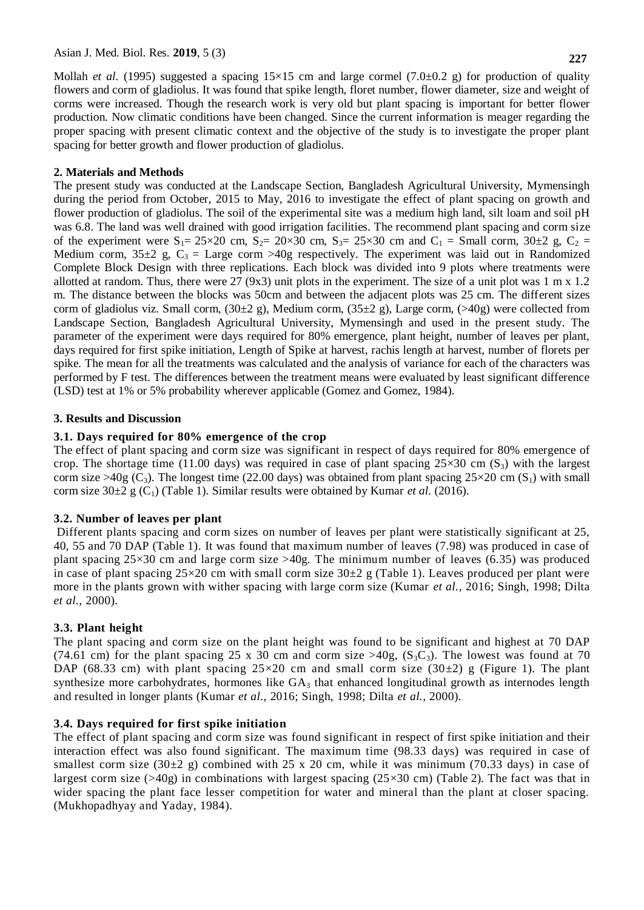Mollah *et al.* (1995) suggested a spacing  $15\times15$  cm and large cormel (7.0±0.2 g) for production of quality flowers and corm of gladiolus. It was found that spike length, floret number, flower diameter, size and weight of corms were increased. Though the research work is very old but plant spacing is important for better flower production. Now climatic conditions have been changed. Since the current information is meager regarding the proper spacing with present climatic context and the objective of the study is to investigate the proper plant spacing for better growth and flower production of gladiolus.

#### **2. Materials and Methods**

The present study was conducted at the Landscape Section, Bangladesh Agricultural University, Mymensingh during the period from October, 2015 to May, 2016 to investigate the effect of plant spacing on growth and flower production of gladiolus. The soil of the experimental site was a medium high land, silt loam and soil pH was 6.8. The land was well drained with good irrigation facilities. The recommend plant spacing and corm size of the experiment were  $S_1 = 25 \times 20$  cm,  $S_2 = 20 \times 30$  cm,  $S_3 = 25 \times 30$  cm and  $C_1 = S$ mall corm,  $30 \pm 2$  g,  $C_2 =$ Medium corm,  $35\pm2$  g,  $C_3 =$  Large corm >40g respectively. The experiment was laid out in Randomized Complete Block Design with three replications. Each block was divided into 9 plots where treatments were allotted at random. Thus, there were 27 (9x3) unit plots in the experiment. The size of a unit plot was  $1 \text{ m } x \text{ 1.2}$ m. The distance between the blocks was 50cm and between the adjacent plots was 25 cm. The different sizes corm of gladiolus viz. Small corm,  $(30\pm 2 \text{ g})$ , Medium corm,  $(35\pm 2 \text{ g})$ , Large corm,  $(>40g)$  were collected from Landscape Section, Bangladesh Agricultural University, Mymensingh and used in the present study. The parameter of the experiment were days required for 80% emergence, plant height, number of leaves per plant, days required for first spike initiation, Length of Spike at harvest, rachis length at harvest, number of florets per spike. The mean for all the treatments was calculated and the analysis of variance for each of the characters was performed by F test. The differences between the treatment means were evaluated by least significant difference (LSD) test at 1% or 5% probability wherever applicable (Gomez and Gomez, 1984).

### **3. Results and Discussion**

### **3.1. Days required for 80% emergence of the crop**

The effect of plant spacing and corm size was significant in respect of days required for 80% emergence of crop. The shortage time (11.00 days) was required in case of plant spacing  $25\times30$  cm (S<sub>3</sub>) with the largest corm size >40g (C<sub>3</sub>). The longest time (22.00 days) was obtained from plant spacing  $25\times20$  cm (S<sub>1</sub>) with small corm size  $30\pm2$  g (C<sub>1</sub>) (Table 1). Similar results were obtained by Kumar *et al.* (2016).

## **3.2. Number of leaves per plant**

Different plants spacing and corm sizes on number of leaves per plant were statistically significant at 25, 40, 55 and 70 DAP (Table 1). It was found that maximum number of leaves (7.98) was produced in case of plant spacing  $25\times30$  cm and large corm size  $>40g$ . The minimum number of leaves (6.35) was produced in case of plant spacing  $25\times20$  cm with small corm size  $30\pm2$  g (Table 1). Leaves produced per plant were more in the plants grown with wither spacing with large corm size (Kumar *et al.,* 2016; Singh, 1998; Dilta *et al.,* 2000).

## **3.3. Plant height**

The plant spacing and corm size on the plant height was found to be significant and highest at 70 DAP (74.61 cm) for the plant spacing 25 x 30 cm and corm size  $>40g$ , (S<sub>3</sub>C<sub>3</sub>). The lowest was found at 70 DAP (68.33 cm) with plant spacing  $25\times20$  cm and small corm size (30 $\pm$ 2) g (Figure 1). The plant synthesize more carbohydrates, hormones like  $GA_3$  that enhanced longitudinal growth as internodes length and resulted in longer plants (Kumar *et al.,* 2016; Singh, 1998; Dilta *et al.,* 2000).

## **3.4. Days required for first spike initiation**

The effect of plant spacing and corm size was found significant in respect of first spike initiation and their interaction effect was also found significant. The maximum time (98.33 days) was required in case of smallest corm size  $(30\pm2)$  g) combined with 25 x 20 cm, while it was minimum (70.33 days) in case of largest corm size (>40g) in combinations with largest spacing ( $25\times30$  cm) (Table 2). The fact was that in wider spacing the plant face lesser competition for water and mineral than the plant at closer spacing. (Mukhopadhyay and Yaday, 1984).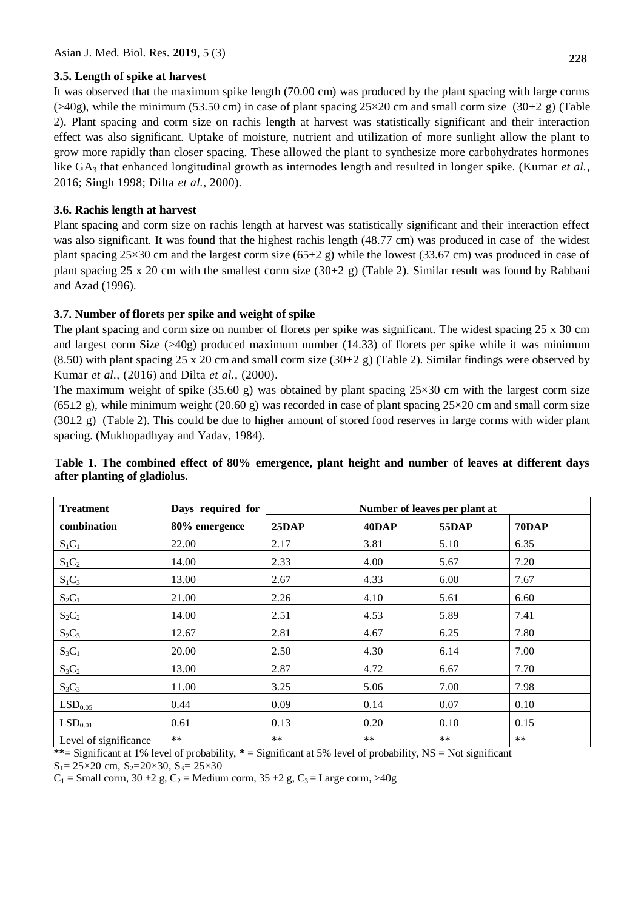#### **3.5. Length of spike at harvest**

It was observed that the maximum spike length (70.00 cm) was produced by the plant spacing with large corms  $(>40g)$ , while the minimum (53.50 cm) in case of plant spacing  $25\times20$  cm and small corm size (30 $\pm$ 2 g) (Table 2). Plant spacing and corm size on rachis length at harvest was statistically significant and their interaction effect was also significant. Uptake of moisture, nutrient and utilization of more sunlight allow the plant to grow more rapidly than closer spacing. These allowed the plant to synthesize more carbohydrates hormones like GA<sup>3</sup> that enhanced longitudinal growth as internodes length and resulted in longer spike. (Kumar *et al.,* 2016; Singh 1998; Dilta *et al.,* 2000).

## **3.6. Rachis length at harvest**

Plant spacing and corm size on rachis length at harvest was statistically significant and their interaction effect was also significant. It was found that the highest rachis length (48.77 cm) was produced in case of the widest plant spacing  $25\times30$  cm and the largest corm size (65 $\pm 2$  g) while the lowest (33.67 cm) was produced in case of plant spacing 25 x 20 cm with the smallest corm size (30 $\pm$ 2 g) (Table 2). Similar result was found by Rabbani and Azad (1996).

## **3.7. Number of florets per spike and weight of spike**

The plant spacing and corm size on number of florets per spike was significant. The widest spacing 25 x 30 cm and largest corm Size (>40g) produced maximum number (14.33) of florets per spike while it was minimum (8.50) with plant spacing 25 x 20 cm and small corm size (30 $\pm$ 2 g) (Table 2). Similar findings were observed by Kumar *et al.,* (2016) and Dilta *et al.,* (2000).

The maximum weight of spike  $(35.60 \text{ g})$  was obtained by plant spacing  $25\times30$  cm with the largest corm size  $(65±2 g)$ , while minimum weight  $(20.60 g)$  was recorded in case of plant spacing  $25\times20$  cm and small corm size  $(30±2 g)$  (Table 2). This could be due to higher amount of stored food reserves in large corms with wider plant spacing. (Mukhopadhyay and Yadav, 1984).

| <b>Treatment</b>      | Days required for | Number of leaves per plant at |       |              |              |
|-----------------------|-------------------|-------------------------------|-------|--------------|--------------|
| combination           | 80% emergence     | 25DAP                         | 40DAP | <b>55DAP</b> | <b>70DAP</b> |
| $S_1C_1$              | 22.00             | 2.17                          | 3.81  | 5.10         | 6.35         |
| $S_1C_2$              | 14.00             | 2.33                          | 4.00  | 5.67         | 7.20         |
| $S_1C_3$              | 13.00             | 2.67                          | 4.33  | 6.00         | 7.67         |
| $S_2C_1$              | 21.00             | 2.26                          | 4.10  | 5.61         | 6.60         |
| $S_2C_2$              | 14.00             | 2.51                          | 4.53  | 5.89         | 7.41         |
| $S_2C_3$              | 12.67             | 2.81                          | 4.67  | 6.25         | 7.80         |
| $S_3C_1$              | 20.00             | 2.50                          | 4.30  | 6.14         | 7.00         |
| $S_3C_2$              | 13.00             | 2.87                          | 4.72  | 6.67         | 7.70         |
| $S_3C_3$              | 11.00             | 3.25                          | 5.06  | 7.00         | 7.98         |
| LSD <sub>0.05</sub>   | 0.44              | 0.09                          | 0.14  | 0.07         | 0.10         |
| LSD <sub>0.01</sub>   | 0.61              | 0.13                          | 0.20  | 0.10         | 0.15         |
| Level of significance | $***$             | $***$                         | $**$  | $***$        | $***$        |

## **Table 1. The combined effect of 80% emergence, plant height and number of leaves at different days after planting of gladiolus.**

**\*\***= Significant at 1% level of probability, **\*** = Significant at 5% level of probability, NS = Not significant

 $S_1 = 25 \times 20$  cm,  $S_2 = 20 \times 30$ ,  $S_3 = 25 \times 30$ 

 $C_1$  = Small corm, 30  $\pm 2$  g,  $C_2$  = Medium corm, 35  $\pm 2$  g,  $C_3$  = Large corm, >40g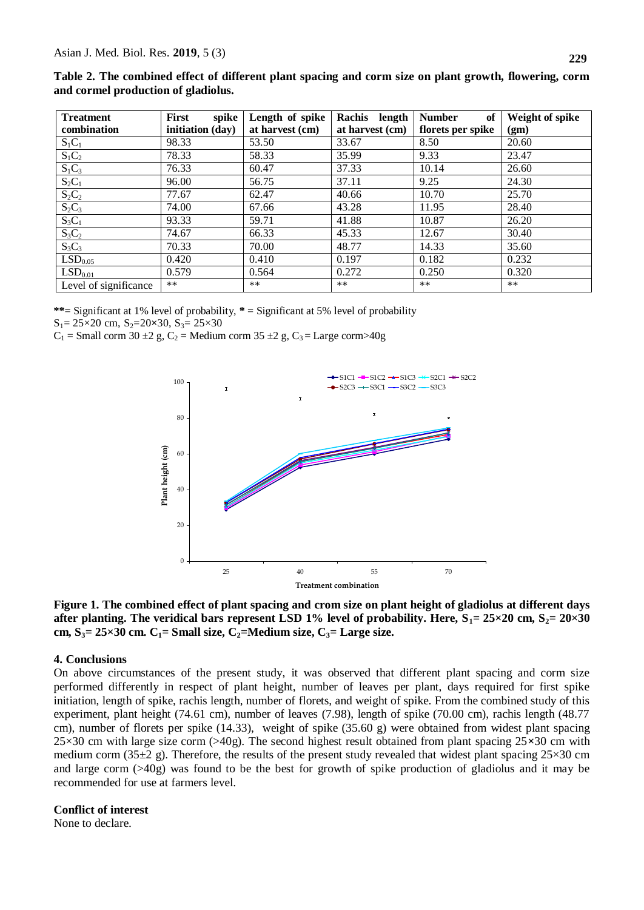| Table 2. The combined effect of different plant spacing and corm size on plant growth, flowering, corm |  |  |
|--------------------------------------------------------------------------------------------------------|--|--|
| and cormel production of gladiolus.                                                                    |  |  |

| <b>Treatment</b>      | <b>First</b><br>spike | Length of spike | <b>Rachis</b><br>length | <b>Number</b><br>of | Weight of spike |
|-----------------------|-----------------------|-----------------|-------------------------|---------------------|-----------------|
| combination           | initiation (day)      | at harvest (cm) | at harvest (cm)         | florets per spike   | (gm)            |
| $S_1C_1$              | 98.33                 | 53.50           | 33.67                   | 8.50                | 20.60           |
| $S_1C_2$              | 78.33                 | 58.33           | 35.99                   | 9.33                | 23.47           |
| $S_1C_3$              | 76.33                 | 60.47           | 37.33                   | 10.14               | 26.60           |
| $S_2C_1$              | 96.00                 | 56.75           | 37.11                   | 9.25                | 24.30           |
| $S_2C_2$              | 77.67                 | 62.47           | 40.66                   | 10.70               | 25.70           |
| $S_2C_3$              | 74.00                 | 67.66           | 43.28                   | 11.95               | 28.40           |
| $S_3C_1$              | 93.33                 | 59.71           | 41.88                   | 10.87               | 26.20           |
| $S_3C_2$              | 74.67                 | 66.33           | 45.33                   | 12.67               | 30.40           |
| $S_3C_3$              | 70.33                 | 70.00           | 48.77                   | 14.33               | 35.60           |
| LSD <sub>0.05</sub>   | 0.420                 | 0.410           | 0.197                   | 0.182               | 0.232           |
| $\mathrm{LSD}_{0.01}$ | 0.579                 | 0.564           | 0.272                   | 0.250               | 0.320           |
| Level of significance | $***$                 | $***$           | $**$                    | $***$               | $***$           |

**\*\***= Significant at 1% level of probability, **\*** = Significant at 5% level of probability

S<sub>1</sub>= 25×20 cm, S<sub>2</sub>=20×30, S<sub>3</sub>= 25×30

 $C_1$  = Small corm 30 ± 2g,  $C_2$  = Medium corm 35 ± 2g,  $C_3$  = Large corm>40g





#### **4. Conclusions**

On above circumstances of the present study, it was observed that different plant spacing and corm size performed differently in respect of plant height, number of leaves per plant, days required for first spike initiation, length of spike, rachis length, number of florets, and weight of spike. From the combined study of this experiment, plant height (74.61 cm), number of leaves (7.98), length of spike (70.00 cm), rachis length (48.77 cm), number of florets per spike (14.33), weight of spike (35.60 g) were obtained from widest plant spacing 25×30 cm with large size corm (>40g). The second highest result obtained from plant spacing 25**×**30 cm with medium corm (35 $\pm$ 2 g). Therefore, the results of the present study revealed that widest plant spacing 25×30 cm and large corm (>40g) was found to be the best for growth of spike production of gladiolus and it may be recommended for use at farmers level.

#### **Conflict of interest**

None to declare.